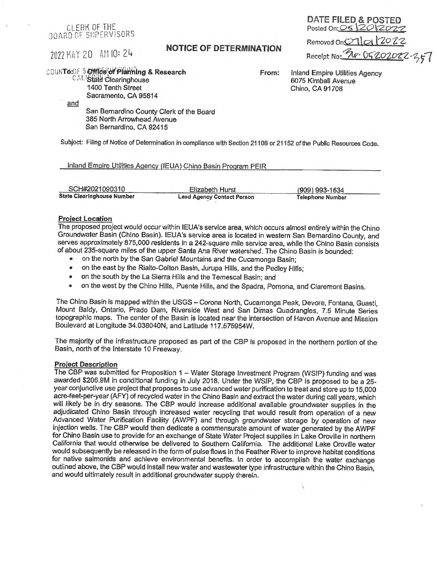## CLERK OF THE BOARD OF SUPERVISORS

# **2022 MAY 20 AM 10: 24 NOTICE OF DETERMINATION**

Posted On:  $OS120120$ Removed On<sup>2</sup> 1012022 Receipt No: <u>Re. 0520202</u>2.357

DATE FILED & POSTED

# COUNT6: UF S Office of Planning & Research

CAL State Clearinghouse 1400 Tenth Street Sacramento, CA 95814

and

San Bernardino County Clerk of the Board 385 North Arrowhead Avenue San Bernardino, CA 92415

Subject: Ffling of Notice of Determination In compliance with Section 21108 or 21152 of the Public Resources Code.

#### Inland Emoire Utilities Agency (IEUA) Chino Basin Program PEIR

| State Clearinghouse Number | <b>Lead Agency Contact Person</b> | Telephone Number |  |  |
|----------------------------|-----------------------------------|------------------|--|--|
| SCH#2021090310             | Elizabeth Hurst                   | (909) 993-1634   |  |  |

#### **Project Location**

The proposed project would occur within IEUA's service area, which occurs almost entirely within the Chino Groundwater Basin (Chino Basin). IEUA's service area is located in western San Bernardino County, and serves approximately 875,000 residents in a 242-square mile service area, while the Chino Basin consists of about 235-square miles of the upper Santa Ana River watershed. The Chino Basin is bounded:

- on the north by the San Gabriel Mountains and the Cucamonga Basin;
- on the east by the Rialto-Colton Basin, Jurupa Hills, and the Pedley Hills:
- on the south by the La Sierra Hills and the Temescal Basin; and
- on the west by the Chino Hills, Puente Hills, and the Spadra, Pomona, and Claremont Basins.

The Chino Basin is mapped within the USGS - Corona North, Cucamonga Peak, Devore, Fontana, Guasti, Mount Baldy, Ontario, Prado Dam, Riverside West and San Dimas Quadrangles, 7.5 Minute Series topographic maps. The center of the Basin is located near the intersection of Haven Avenue and Mission Boulevard at Longitude 34.038040N, and Latitude 117.575954W.

The majority of the infrastructure proposed as part of the CBP Is proposed in the northern portion of the Basin, north of the Interstate 10 Freeway.

#### **Project Description**

The CBP was submitted for Proposition 1 - Water Storage Investment Program (WSIP) funding and was awarded \$206.9M in conditional funding in July 2018. Under the WSIP, the CBP is proposed to be a 25 year conjunctive use project that proposes to use advanced water purification to treat and store up to 15,000 acre-feet-per-year (AFY) of recycled water in the Chino Basin and extract the water during call years, which will likely be in dry seasons. The CBP would increase additional available groundwater supplies in the adjudicated Chino Basin through increased water recycling that would result from operation of a new Advanced Water Purification Facility (AWPF) and through groundwater storage by operation of new injection wells. The CBP would then dedicate a commensurate amount of water generated by the AWPF for Chino Basin use to provide for an exchange of State Water Project supplies in Lake Oroville in northern California that would otherwise be delivered to Southern California. The additional Lake Oroville water would subsequently be released in the form of pulse flows in the Feather River to improve habitat conditions for native salmonids and achieve environmental benefits. In order to accomplish the water exchange outlined above, the CBP would Install new water and wastewater type infrastructure within the Chino Basin, and would ultimately result in additional groundwater supply therein.

**From:** Inland Empire Utilities Agency 6075 Kimball Avenue Chino, CA 91708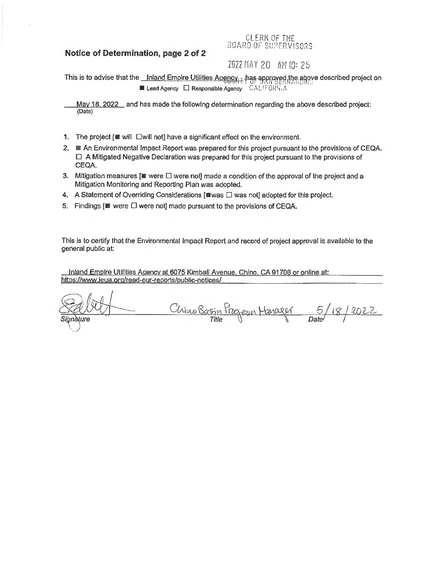## **Notice of Determination, page 2 of 2**

### CLERK OF THE BOARD OF SUPERVISORS

# 2022 Mt1 *Y* 20 AM 10: 25

This is to advise that the *Inland Empire Utilities Agency* Thas approved the above described project on **E** Lead Agency  $\Box$  Responsible Agency  $\Box$   $\Diamond$  ALIFORM, A

May 18, 2022 and has made the following determination regarding the above described project: {Date)

- 1. The project [ $\blacksquare$  will  $\square$  will not] have a significant effect on the environment.
- 2. **E** An Environmental Impact Report was prepared for this project pursuant to the provisions of CEQA.  $\square$  A Mitigated Negative Declaration was prepared for this project pursuant to the provisions of CEQA.
- 3. Mitigation measures [ $\blacksquare$  were  $\square$  were not] made a condition of the approval of the project and a Mitigation Monitoring and Reporting Plan was adopted.
- 4. A Statement of Overriding Considerations [ was  $\Box$  was not] adopted for this project.
- 5. Findings  $[\blacksquare]$  were  $\square$  were not] made pursuant to the provisions of CEQA.

This is to certify that the Environmental Impact Report and record of project approval is available to the general public at:

Inland Empire Utilities Agency at 6075 Kimball Avenue. Chino. CA 91708 or online at: https://www.ieua.org/read-our-reports/public-notices/

Chino Basin Pragram Hanager 5  $2022$ Date/ anàture